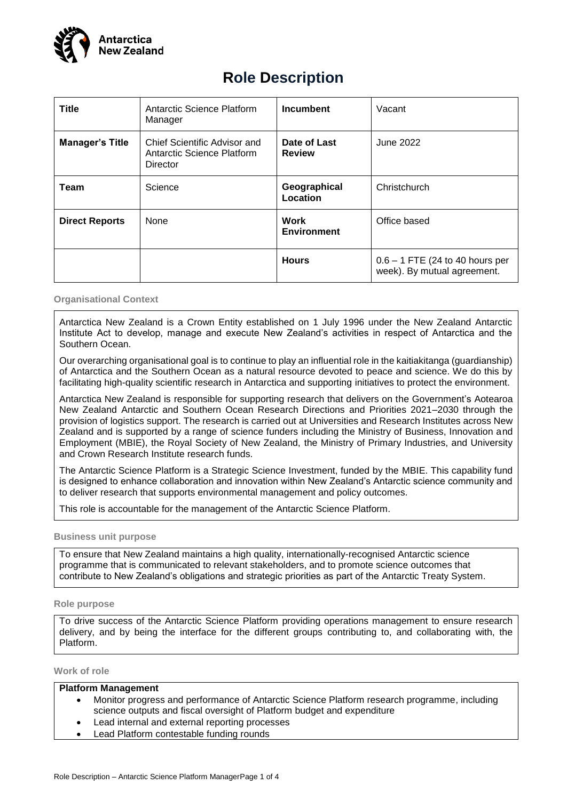

# **Role Description**

| <b>Title</b>           | Antarctic Science Platform<br>Manager                                         | <b>Incumbent</b>              | Vacant                                                           |
|------------------------|-------------------------------------------------------------------------------|-------------------------------|------------------------------------------------------------------|
| <b>Manager's Title</b> | Chief Scientific Advisor and<br><b>Antarctic Science Platform</b><br>Director | Date of Last<br><b>Review</b> | June 2022                                                        |
| <b>Team</b>            | Science                                                                       | Geographical<br>Location      | Christchurch                                                     |
| <b>Direct Reports</b>  | Work<br>None<br><b>Environment</b>                                            |                               | Office based                                                     |
|                        |                                                                               | <b>Hours</b>                  | $0.6 - 1$ FTE (24 to 40 hours per<br>week). By mutual agreement. |

#### **Organisational Context**

Antarctica New Zealand is a Crown Entity established on 1 July 1996 under the New Zealand Antarctic Institute Act to develop, manage and execute New Zealand's activities in respect of Antarctica and the Southern Ocean.

Our overarching organisational goal is to continue to play an influential role in the kaitiakitanga (guardianship) of Antarctica and the Southern Ocean as a natural resource devoted to peace and science. We do this by facilitating high-quality scientific research in Antarctica and supporting initiatives to protect the environment.

Antarctica New Zealand is responsible for supporting research that delivers on the Government's Aotearoa New Zealand Antarctic and Southern Ocean Research Directions and Priorities 2021–2030 through the provision of logistics support. The research is carried out at Universities and Research Institutes across New Zealand and is supported by a range of science funders including the Ministry of Business, Innovation and Employment (MBIE), the Royal Society of New Zealand, the Ministry of Primary Industries, and University and Crown Research Institute research funds.

The Antarctic Science Platform is a Strategic Science Investment, funded by the MBIE. This capability fund is designed to enhance collaboration and innovation within New Zealand's Antarctic science community and to deliver research that supports environmental management and policy outcomes.

This role is accountable for the management of the Antarctic Science Platform.

#### **Business unit purpose**

To ensure that New Zealand maintains a high quality, internationally-recognised Antarctic science programme that is communicated to relevant stakeholders, and to promote science outcomes that contribute to New Zealand's obligations and strategic priorities as part of the Antarctic Treaty System.

# **Role purpose**

To drive success of the Antarctic Science Platform providing operations management to ensure research delivery, and by being the interface for the different groups contributing to, and collaborating with, the Platform.

**Work of role**

# **Platform Management**

- Monitor progress and performance of Antarctic Science Platform research programme, including science outputs and fiscal oversight of Platform budget and expenditure
- Lead internal and external reporting processes
- Lead Platform contestable funding rounds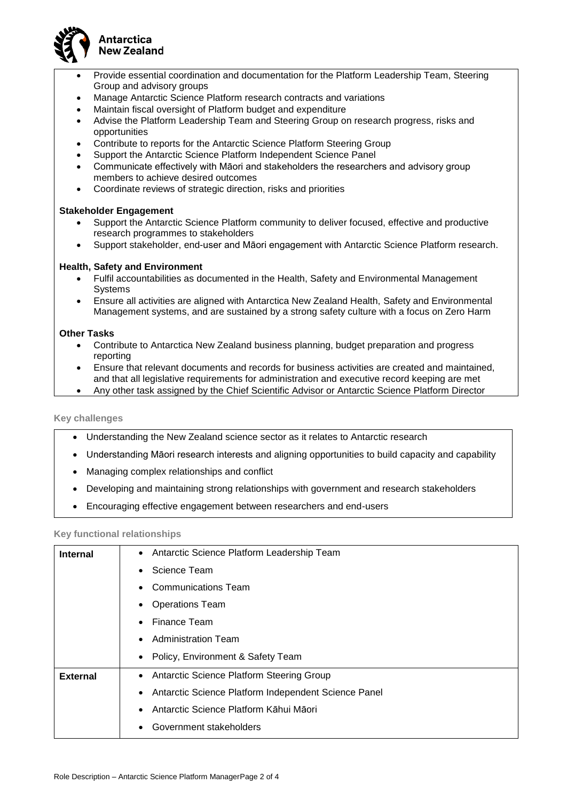

# **Antarctica New Zealand**

- Provide essential coordination and documentation for the Platform Leadership Team, Steering Group and advisory groups
- Manage Antarctic Science Platform research contracts and variations
- Maintain fiscal oversight of Platform budget and expenditure
- Advise the Platform Leadership Team and Steering Group on research progress, risks and opportunities
- Contribute to reports for the Antarctic Science Platform Steering Group
- Support the Antarctic Science Platform Independent Science Panel
- Communicate effectively with Māori and stakeholders the researchers and advisory group members to achieve desired outcomes
- Coordinate reviews of strategic direction, risks and priorities

# **Stakeholder Engagement**

- Support the Antarctic Science Platform community to deliver focused, effective and productive research programmes to stakeholders
- Support stakeholder, end-user and Māori engagement with Antarctic Science Platform research.

# **Health, Safety and Environment**

- Fulfil accountabilities as documented in the Health, Safety and Environmental Management Systems
- Ensure all activities are aligned with Antarctica New Zealand Health, Safety and Environmental Management systems, and are sustained by a strong safety culture with a focus on Zero Harm

# **Other Tasks**

- Contribute to Antarctica New Zealand business planning, budget preparation and progress reporting
- Ensure that relevant documents and records for business activities are created and maintained, and that all legislative requirements for administration and executive record keeping are met
- Any other task assigned by the Chief Scientific Advisor or Antarctic Science Platform Director

# **Key challenges**

- Understanding the New Zealand science sector as it relates to Antarctic research
- Understanding Māori research interests and aligning opportunities to build capacity and capability
- Managing complex relationships and conflict
- Developing and maintaining strong relationships with government and research stakeholders
- Encouraging effective engagement between researchers and end-users

# **Key functional relationships**

| <b>Internal</b> | • Antarctic Science Platform Leadership Team                         |  |  |
|-----------------|----------------------------------------------------------------------|--|--|
|                 | Science Team<br><b>Communications Team</b><br><b>Operations Team</b> |  |  |
|                 |                                                                      |  |  |
|                 |                                                                      |  |  |
|                 | <b>Finance Team</b>                                                  |  |  |
|                 | <b>Administration Team</b>                                           |  |  |
|                 | Policy, Environment & Safety Team                                    |  |  |
| <b>External</b> | • Antarctic Science Platform Steering Group                          |  |  |
|                 | Antarctic Science Platform Independent Science Panel                 |  |  |
|                 | Antarctic Science Platform Kāhui Māori                               |  |  |
|                 | Government stakeholders                                              |  |  |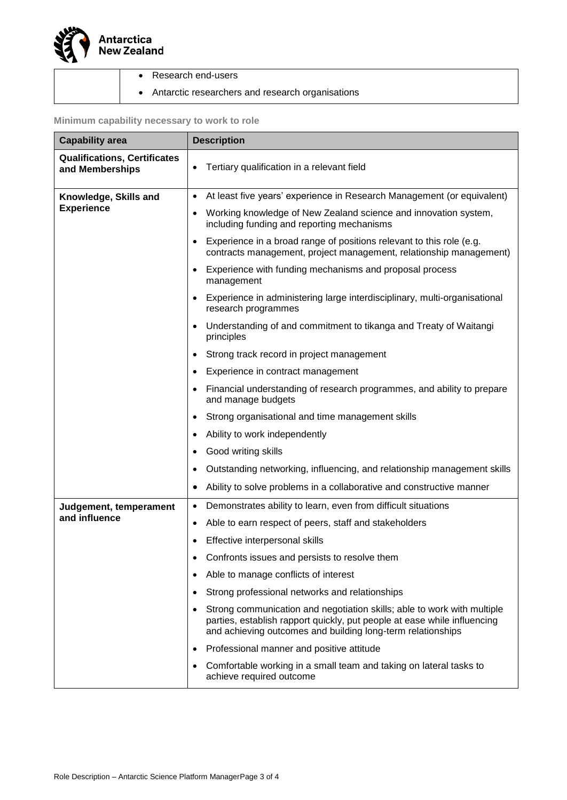

| Research end-users |
|--------------------|
|                    |

• Antarctic researchers and research organisations

# **Minimum capability necessary to work to role**

| <b>Capability area</b>                                 | <b>Description</b>                                                                                                                                                                                                      |  |  |
|--------------------------------------------------------|-------------------------------------------------------------------------------------------------------------------------------------------------------------------------------------------------------------------------|--|--|
| <b>Qualifications, Certificates</b><br>and Memberships | Tertiary qualification in a relevant field<br>$\bullet$                                                                                                                                                                 |  |  |
| Knowledge, Skills and                                  | At least five years' experience in Research Management (or equivalent)<br>٠                                                                                                                                             |  |  |
| <b>Experience</b>                                      | Working knowledge of New Zealand science and innovation system,<br>$\bullet$<br>including funding and reporting mechanisms                                                                                              |  |  |
|                                                        | Experience in a broad range of positions relevant to this role (e.g.<br>$\bullet$<br>contracts management, project management, relationship management)                                                                 |  |  |
|                                                        | Experience with funding mechanisms and proposal process<br>٠<br>management                                                                                                                                              |  |  |
|                                                        | Experience in administering large interdisciplinary, multi-organisational<br>٠<br>research programmes                                                                                                                   |  |  |
|                                                        | Understanding of and commitment to tikanga and Treaty of Waitangi<br>$\bullet$<br>principles                                                                                                                            |  |  |
|                                                        | Strong track record in project management<br>٠                                                                                                                                                                          |  |  |
|                                                        | Experience in contract management<br>٠                                                                                                                                                                                  |  |  |
|                                                        | Financial understanding of research programmes, and ability to prepare<br>and manage budgets                                                                                                                            |  |  |
|                                                        | Strong organisational and time management skills<br>٠                                                                                                                                                                   |  |  |
|                                                        | Ability to work independently                                                                                                                                                                                           |  |  |
|                                                        | Good writing skills                                                                                                                                                                                                     |  |  |
|                                                        | Outstanding networking, influencing, and relationship management skills                                                                                                                                                 |  |  |
|                                                        | Ability to solve problems in a collaborative and constructive manner                                                                                                                                                    |  |  |
| Judgement, temperament                                 | Demonstrates ability to learn, even from difficult situations<br>٠                                                                                                                                                      |  |  |
| and influence                                          | Able to earn respect of peers, staff and stakeholders<br>٠                                                                                                                                                              |  |  |
|                                                        | Effective interpersonal skills                                                                                                                                                                                          |  |  |
|                                                        | Confronts issues and persists to resolve them                                                                                                                                                                           |  |  |
|                                                        | Able to manage conflicts of interest<br>٠                                                                                                                                                                               |  |  |
|                                                        | Strong professional networks and relationships<br>٠                                                                                                                                                                     |  |  |
|                                                        | Strong communication and negotiation skills; able to work with multiple<br>٠<br>parties, establish rapport quickly, put people at ease while influencing<br>and achieving outcomes and building long-term relationships |  |  |
|                                                        | Professional manner and positive attitude<br>٠                                                                                                                                                                          |  |  |
|                                                        | Comfortable working in a small team and taking on lateral tasks to<br>٠<br>achieve required outcome                                                                                                                     |  |  |